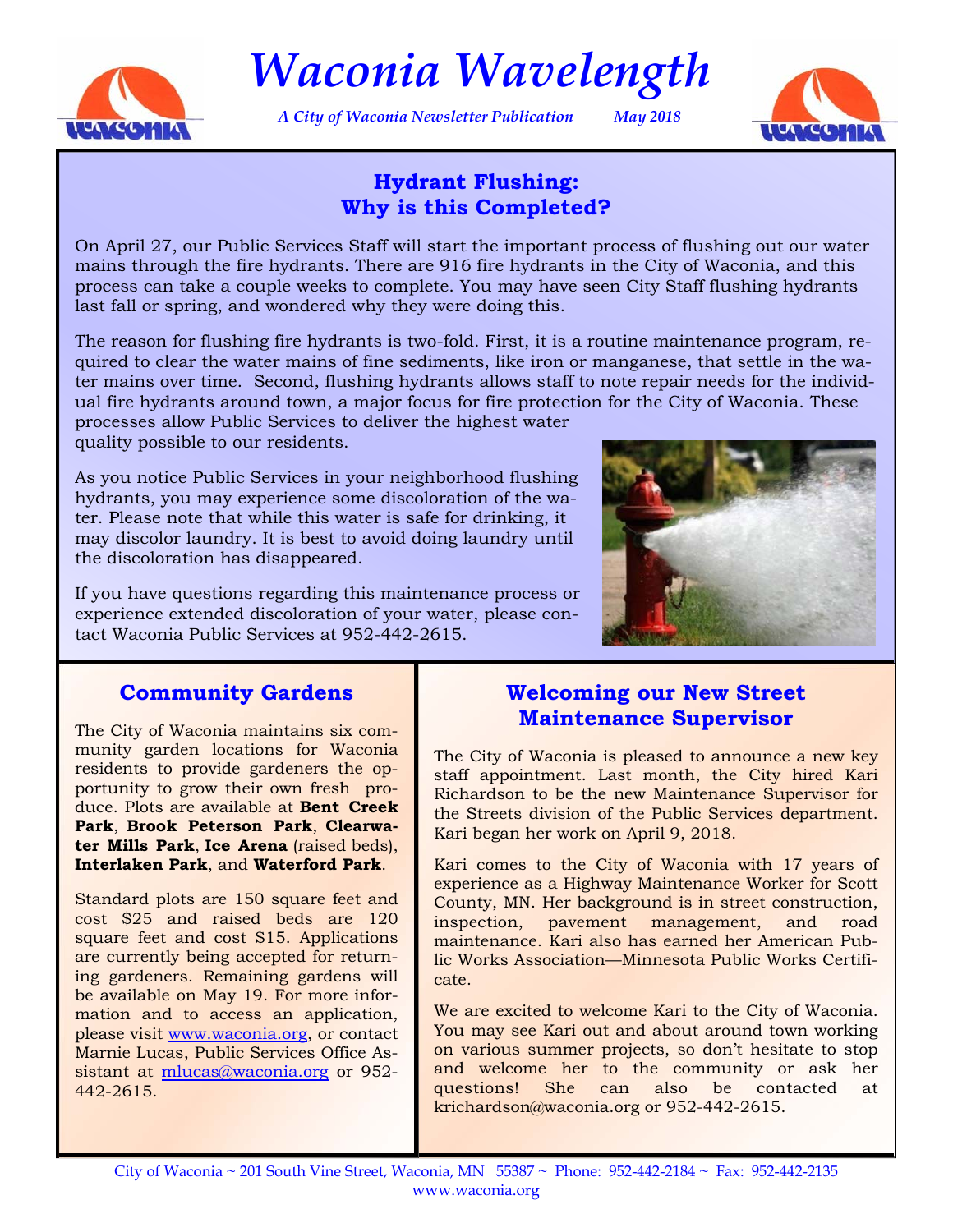

*Waconia Wavelength* 

*A City of Waconia Newsletter Publication May 2018* 



# **Hydrant Flushing: Why is this Completed?**

On April 27, our Public Services Staff will start the important process of flushing out our water mains through the fire hydrants. There are 916 fire hydrants in the City of Waconia, and this process can take a couple weeks to complete. You may have seen City Staff flushing hydrants last fall or spring, and wondered why they were doing this.

The reason for flushing fire hydrants is two-fold. First, it is a routine maintenance program, required to clear the water mains of fine sediments, like iron or manganese, that settle in the water mains over time. Second, flushing hydrants allows staff to note repair needs for the individual fire hydrants around town, a major focus for fire protection for the City of Waconia. These processes allow Public Services to deliver the highest water

quality possible to our residents.

As you notice Public Services in your neighborhood flushing hydrants, you may experience some discoloration of the water. Please note that while this water is safe for drinking, it may discolor laundry. It is best to avoid doing laundry until the discoloration has disappeared.



If you have questions regarding this maintenance process or experience extended discoloration of your water, please contact Waconia Public Services at 952-442-2615.

# **Community Gardens**

The City of Waconia maintains six community garden locations for Waconia residents to provide gardeners the opportunity to grow their own fresh produce. Plots are available at **Bent Creek Park**, **Brook Peterson Park**, **Clearwater Mills Park**, **Ice Arena** (raised beds), **Interlaken Park**, and **Waterford Park**.

Standard plots are 150 square feet and cost \$25 and raised beds are 120 square feet and cost \$15. Applications are currently being accepted for returning gardeners. Remaining gardens will be available on May 19. For more information and to access an application, please visit [www.waconia.org,](https://mn-waconia.civicplus.com/439/Community-Gardens) or contact Marnie Lucas, Public Services Office Assistant at mlucas@waconia.org or 952-442-2615.

## **Welcoming our New Street Maintenance Supervisor**

The City of Waconia is pleased to announce a new key staff appointment. Last month, the City hired Kari Richardson to be the new Maintenance Supervisor for the Streets division of the Public Services department. Kari began her work on April 9, 2018.

Kari comes to the City of Waconia with 17 years of experience as a Highway Maintenance Worker for Scott County, MN. Her background is in street construction, inspection, pavement management, and road maintenance. Kari also has earned her American Public Works Association—Minnesota Public Works Certificate.

We are excited to welcome Kari to the City of Waconia. You may see Kari out and about around town working on various summer projects, so don't hesitate to stop and welcome her to the community or ask her questions! She can also be contacted at krichardson@waconia.org or 952-442-2615.